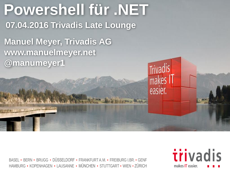

BASEL · BERN · BRUGG · DÜSSELDORF · FRANKFURT A.M. · FREIBURG I.BR. · GENF HAMBURG • KOPENHAGEN • LAUSANNE • MÜNCHEN • STUTTGART • WIEN • ZÜRICH

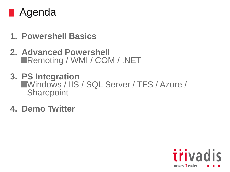

- **1. Powershell Basics**
- **2. Advanced Powershell** ■Remoting / WMI / COM / .NET
- **3. PS Integration** Windows / IIS / SQL Server / TFS / Azure / **Sharepoint**
- **4. Demo Twitter**

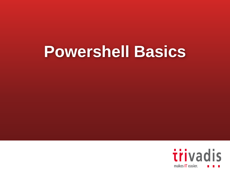# **Powershell Basics**

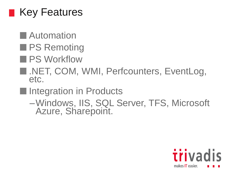

**Automation** 

**PS Remoting** 

**PS Workflow** 

**NET, COM, WMI, Perfcounters, EventLog,** etc.

Integration in Products

–Windows, IIS, SQL Server, TFS, Microsoft Azure, Sharepoint.

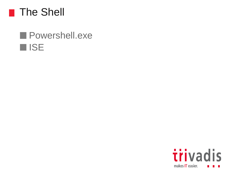

#### **Powershell.exe ISE**

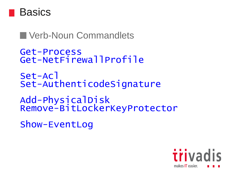

#### **Noun Commandlets**

```
Get-Process
Get-NetFirewallProfile
Set-Acl
Set-AuthenticodeSignature
```
Add-PhysicalDisk Remove-BitLockerKeyProtector

Show-EventLog

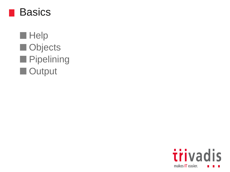

**Help** Objects **Pipelining Output** 

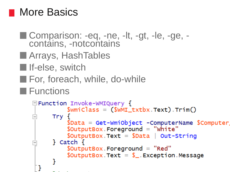#### More Basics

```
■ Comparison: -eq, -ne, -lt, -gt, -le, -ge, -
  contains, -notcontains
Marrays, HashTables
If-else, switch
For, foreach, while, do-while
E Functions
   \Box Function Invoke-WMIQuery {
              \text{SwmiClass} = (\text{SwMI\_txtbx} \text{ Text}). \text{Trim}()Try \{$Data = Get-WmiObject -ComputerName $Computer
              $OutputBox. For a ground = "white"$OutputBox_Text = $Data | Out-String\} Catch \{$OutputBox. For a ground = "Red"$OutputBox. Text = $. Exception Message
      Powershell@MSUGS
     ŀ
```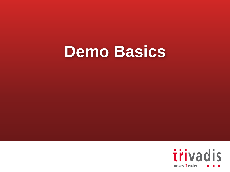## **Demo Basics**

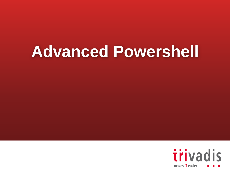# **Advanced Powershell**

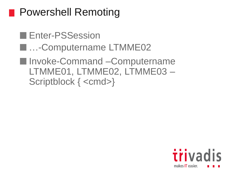### **Powershell Remoting**

**Enter-PSSession E.a.**-Computername LTMME02 ■ Invoke-Command –Computername LTMME01, LTMME02, LTMME03 – Scriptblock { <cmd>}

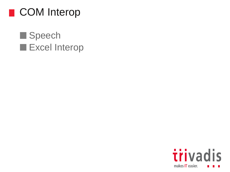

#### Speech Excel Interop

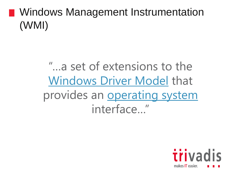### **Number** Windows Management Instrumentation (WMI)

"…a set of extensions to the [Windows Driver Model](https://en.wikipedia.org/wiki/Windows_Driver_Model) that provides an **[operating system](https://en.wikipedia.org/wiki/Operating_system)** interface…"

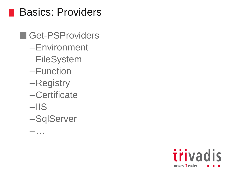#### Basics: Providers

#### Get-PSProviders

- –Environment
- –FileSystem
- –Function
- –Registry
- –Certificate
- $-IIS$

–…

–SqlServer

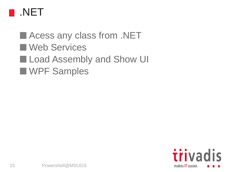

#### **Acess any class from .NET** Web Services **Load Assembly and Show UI** WPF Samples

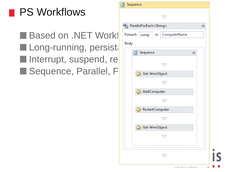### PS Workflows

**Based on .NET Work1** Foreach comp in ComputerName  $\blacksquare$  Long-running, persist $\blacksquare$  $\blacksquare$  Interrupt, suspend, re Sequence, Parallel, Figure 1, and Sequence, Parallel, Figure 1, and Sect-WmiObject

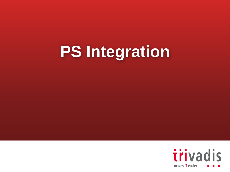# **PS Integration**

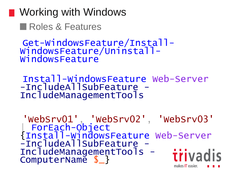**■ Working with Windows** Roles & Features

Get-WindowsFeature/Install-WindowsFeature/Uninstall-WindowsFeature

Install-WindowsFeature Web-Server -IncludeAllSubFeature -IncludeManagementTools

'WebSrv01', 'WebSrv02', 'WebSrv03' | ForEach-Object {Install-WindowsFeature Web-Server -IncludeAllSubFeature -IncludeManagementTools *iiivadis* ComputerName \$\_} makes IT easier.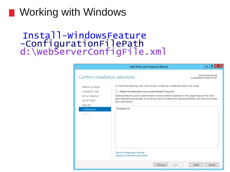#### ■ Working with Windows

#### Install-WindowsFeature -ConfigurationFilePath d:\WebServerConfigFile.xml

| 科                               | Add Roles and Features Wizard                                                                                                     | ▫<br>×                                          |
|---------------------------------|-----------------------------------------------------------------------------------------------------------------------------------|-------------------------------------------------|
| Confirm installation selections |                                                                                                                                   | DESTINATION SERVER<br>CLUS01B.ROOT.SYSADMIN.NET |
| Before You Begin                | To install the following roles, role services, or features on selected server, click Install.                                     |                                                 |
| Installation Type               | Restart the destination server automatically if required                                                                          |                                                 |
| Server Selection                | Optional features (such as administration tools) might be displayed on this page because they have                                |                                                 |
| Server Roles                    | been selected automatically. If you do not want to install these optional features, click Previous to clear<br>their check boxes. |                                                 |
| Features                        |                                                                                                                                   |                                                 |
| Confirmation                    | Multipath I/O                                                                                                                     |                                                 |
| Results                         |                                                                                                                                   |                                                 |
|                                 |                                                                                                                                   |                                                 |
|                                 |                                                                                                                                   |                                                 |
|                                 |                                                                                                                                   |                                                 |
|                                 |                                                                                                                                   |                                                 |
|                                 |                                                                                                                                   |                                                 |
|                                 |                                                                                                                                   |                                                 |
|                                 |                                                                                                                                   |                                                 |
|                                 |                                                                                                                                   |                                                 |
|                                 | <b>Export configuration settings</b><br>Specify an alternate source path                                                          |                                                 |
|                                 | < Previous                                                                                                                        | Cancel<br>Next<br>Install                       |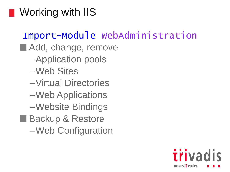### **Norking with IIS**

#### Import-Module WebAdministration

- Add, change, remove
	- –Application pools
	- –Web Sites
	- –Virtual Directories
	- –Web Applications
	- –Website Bindings
- Backup & Restore
	- –Web Configuration

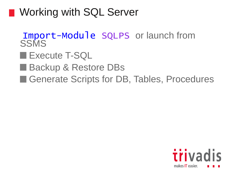### **Number 19 Working with SQL Server**

- Import-Module SQLPS or launch from **SSMS**
- **Execute T-SQL**
- Backup & Restore DBs
- Generate Scripts for DB, Tables, Procedures

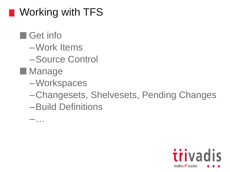### **Norking with TFS**

- Get info
	- –Work Items
	- –Source Control
- **Manage** 
	- –Workspaces
	- –Changesets, Shelvesets, Pending Changes
	- –Build Definitions

–…

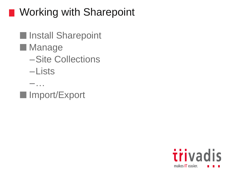### **Norking with Sharepoint**

- **Install Sharepoint Manage** –Site Collections –Lists
- Import/Export

–…

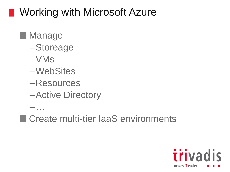### ■ Working with Microsoft Azure

- **Manage** 
	- –Storeage
	- $-VMs$
	- –WebSites
	- –Resources
	- –Active Directory

–…

■ Create multi-tier laaS environments

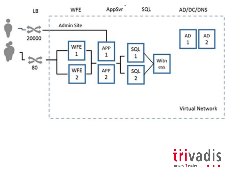

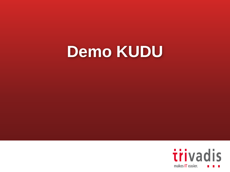# **Demo KUDU**

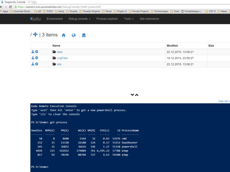

#### $/$  + | 3 items  $\land$  0  $\Box$

|         | <b>Name</b>       | <b>Modifed</b>       | <b>Size</b> |
|---------|-------------------|----------------------|-------------|
| $\pm$ 0 | $\bullet$ data    | 22.12.2015, 13:06:21 |             |
| $\pm$ o | <b>E</b> LogFiles | 18.12.2014, 23:59:27 |             |
| $\pm$ 0 | site              | 22.12.2015, 13:06:21 |             |

**VA** 

Lise old o

|                          |     | Kudu Remote Execution Console<br>Type 'exit' then hit 'enter' to get a new powershell process.<br>Type 'cls' to clear the console |                  |                 |                         |                 |                       |
|--------------------------|-----|-----------------------------------------------------------------------------------------------------------------------------------|------------------|-----------------|-------------------------|-----------------|-----------------------|
| PS D: \home> get-process |     |                                                                                                                                   |                  |                 |                         |                 |                       |
| Handles NPM(K)           |     | PM(K)                                                                                                                             | $WS(K)$ VM $(M)$ |                 | CPU(s)                  |                 | Id ProcessName        |
| 58                       | 8   | 4688                                                                                                                              | 5164             | 32 <sub>2</sub> |                         | 0.03 51976 cmd  |                       |
| 152                      | 15  | 11520                                                                                                                             | 16180            | 124             |                         |                 | 0.17 55252 DaaSRunner |
| 245                      | 21  | 36852                                                                                                                             | 36616            | 196             |                         |                 | 1.27 51328 powershell |
| 4694                     | 115 | 142412                                                                                                                            | 179084           |                 | 761 6,595.22 17788 w3wp |                 |                       |
| 817                      | 92  | 78196                                                                                                                             | 88704            | 727             |                         | 4.63 54100 w3wp |                       |
|                          |     |                                                                                                                                   |                  |                 |                         |                 |                       |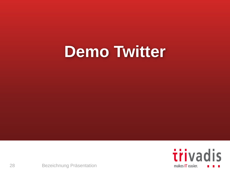# **Demo Twitter**